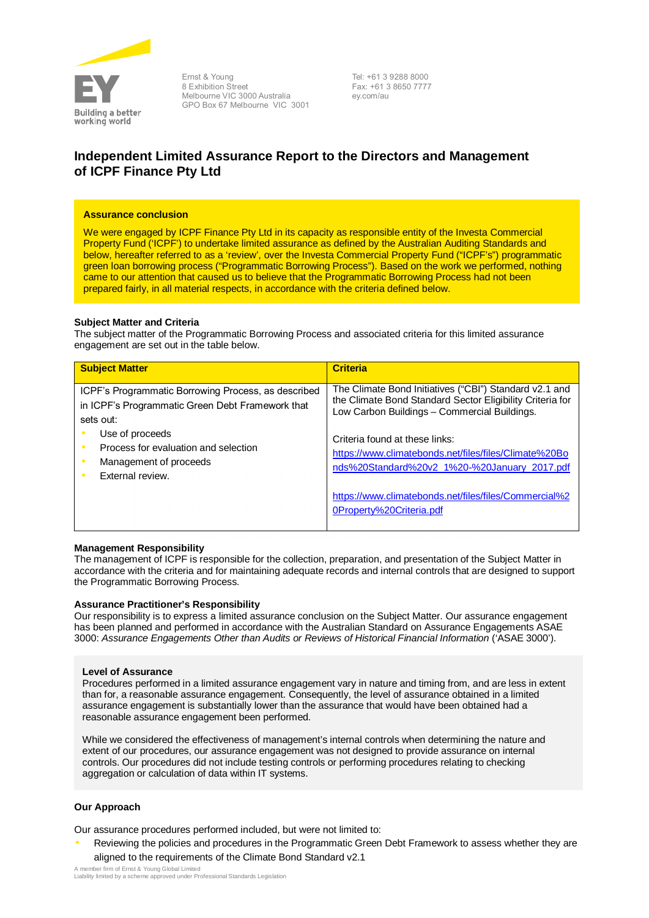

Ernst & Young 8 Exhibition Street Melbourne VIC 3000 Australia GPO Box 67 Melbourne VIC 3001 Tel: +61 3 9288 8000 Fax: +61 3 8650 7777 ey.com/au

# **Independent Limited Assurance Report to the Directors and Management of ICPF Finance Pty Ltd**

#### **Assurance conclusion**

We were engaged by ICPF Finance Pty Ltd in its capacity as responsible entity of the Investa Commercial Property Fund ('ICPF') to undertake limited assurance as defined by the Australian Auditing Standards and below, hereafter referred to as a 'review', over the Investa Commercial Property Fund ("ICPF's") programmatic green loan borrowing process ("Programmatic Borrowing Process"). Based on the work we performed, nothing came to our attention that caused us to believe that the Programmatic Borrowing Process had not been prepared fairly, in all material respects, in accordance with the criteria defined below.

### **Subject Matter and Criteria**

The subject matter of the Programmatic Borrowing Process and associated criteria for this limited assurance engagement are set out in the table below.

| <b>Subject Matter</b>                                                                                                                                                                                                         | <b>Criteria</b>                                                                                                                                                                                                                                                                                                |
|-------------------------------------------------------------------------------------------------------------------------------------------------------------------------------------------------------------------------------|----------------------------------------------------------------------------------------------------------------------------------------------------------------------------------------------------------------------------------------------------------------------------------------------------------------|
| ICPF's Programmatic Borrowing Process, as described<br>in ICPF's Programmatic Green Debt Framework that<br>sets out:<br>Use of proceeds<br>Process for evaluation and selection<br>Management of proceeds<br>External review. | The Climate Bond Initiatives ("CBI") Standard v2.1 and<br>the Climate Bond Standard Sector Eligibility Criteria for<br>Low Carbon Buildings - Commercial Buildings.<br>Criteria found at these links:<br>https://www.climatebonds.net/files/files/Climate%20Bo<br>nds%20Standard%20v2 1%20-%20January 2017.pdf |
|                                                                                                                                                                                                                               | https://www.climatebonds.net/files/files/Commercial%2<br>OProperty%20Criteria.pdf                                                                                                                                                                                                                              |

## **Management Responsibility**

The management of ICPF is responsible for the collection, preparation, and presentation of the Subject Matter in accordance with the criteria and for maintaining adequate records and internal controls that are designed to support the Programmatic Borrowing Process.

#### **Assurance Practitioner's Responsibility**

Our responsibility is to express a limited assurance conclusion on the Subject Matter. Our assurance engagement has been planned and performed in accordance with the Australian Standard on Assurance Engagements ASAE 3000: *Assurance Engagements Other than Audits or Reviews of Historical Financial Information* ('ASAE 3000').

#### **Level of Assurance**

Procedures performed in a limited assurance engagement vary in nature and timing from, and are less in extent than for, a reasonable assurance engagement. Consequently, the level of assurance obtained in a limited assurance engagement is substantially lower than the assurance that would have been obtained had a reasonable assurance engagement been performed.

While we considered the effectiveness of management's internal controls when determining the nature and extent of our procedures, our assurance engagement was not designed to provide assurance on internal controls. Our procedures did not include testing controls or performing procedures relating to checking aggregation or calculation of data within IT systems.

## **Our Approach**

Our assurance procedures performed included, but were not limited to:

• Reviewing the policies and procedures in the Programmatic Green Debt Framework to assess whether they are aligned to the requirements of the Climate Bond Standard v2.1